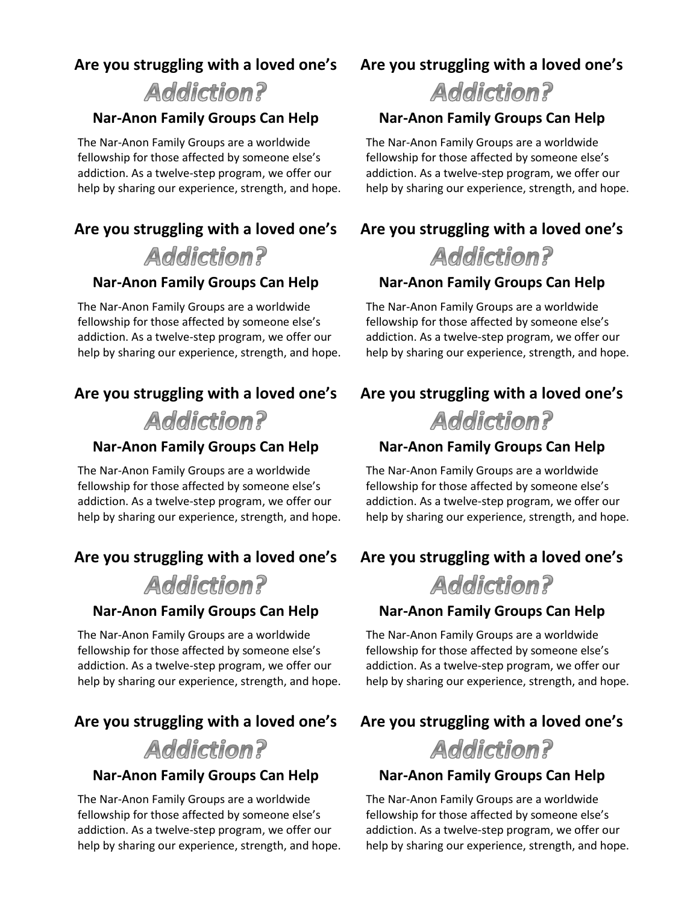## **Are you struggling with a loved one's**

# **Addiction?**

#### **Nar-Anon Family Groups Can Help**

 The Nar-Anon Family Groups are a worldwide fellowship for those affected by someone else's addiction. As a twelve-step program, we offer our help by sharing our experience, strength, and hope.

# **Are you struggling with a loved one's**

# **Addiction?**

### **Nar-Anon Family Groups Can Help**

 The Nar-Anon Family Groups are a worldwide fellowship for those affected by someone else's addiction. As a twelve-step program, we offer our help by sharing our experience, strength, and hope.

# **Are you struggling with a loved one's**



### **Nar-Anon Family Groups Can Help**

 The Nar-Anon Family Groups are a worldwide fellowship for those affected by someone else's addiction. As a twelve-step program, we offer our help by sharing our experience, strength, and hope.

## **Are you struggling with a loved one's**

**Addiction?** 

#### **Nar-Anon Family Groups Can Help**

 The Nar-Anon Family Groups are a worldwide fellowship for those affected by someone else's addiction. As a twelve-step program, we offer our help by sharing our experience, strength, and hope.

# **Are you struggling with a loved one's**

**Addiction?** 

### **Nar-Anon Family Groups Can Help**

 The Nar-Anon Family Groups are a worldwide fellowship for those affected by someone else's addiction. As a twelve-step program, we offer our help by sharing our experience, strength, and hope.

# **Are you struggling with a loved one's**

# **Addiction?**

### **Nar-Anon Family Groups Can Help**

 The Nar-Anon Family Groups are a worldwide fellowship for those affected by someone else's addiction. As a twelve-step program, we offer our help by sharing our experience, strength, and hope.

# **Are you struggling with a loved one's**

# **Addiction?**

### **Nar-Anon Family Groups Can Help**

 The Nar-Anon Family Groups are a worldwide fellowship for those affected by someone else's addiction. As a twelve-step program, we offer our help by sharing our experience, strength, and hope.

## **Are you struggling with a loved one's**



### **Nar-Anon Family Groups Can Help**

 The Nar-Anon Family Groups are a worldwide fellowship for those affected by someone else's addiction. As a twelve-step program, we offer our help by sharing our experience, strength, and hope.

## **Are you struggling with a loved one's**

**Addiction?** 

#### **Nar-Anon Family Groups Can Help**

 The Nar-Anon Family Groups are a worldwide fellowship for those affected by someone else's addiction. As a twelve-step program, we offer our help by sharing our experience, strength, and hope.

# **Are you struggling with a loved one's**



### **Nar-Anon Family Groups Can Help**

 The Nar-Anon Family Groups are a worldwide fellowship for those affected by someone else's addiction. As a twelve-step program, we offer our help by sharing our experience, strength, and hope.